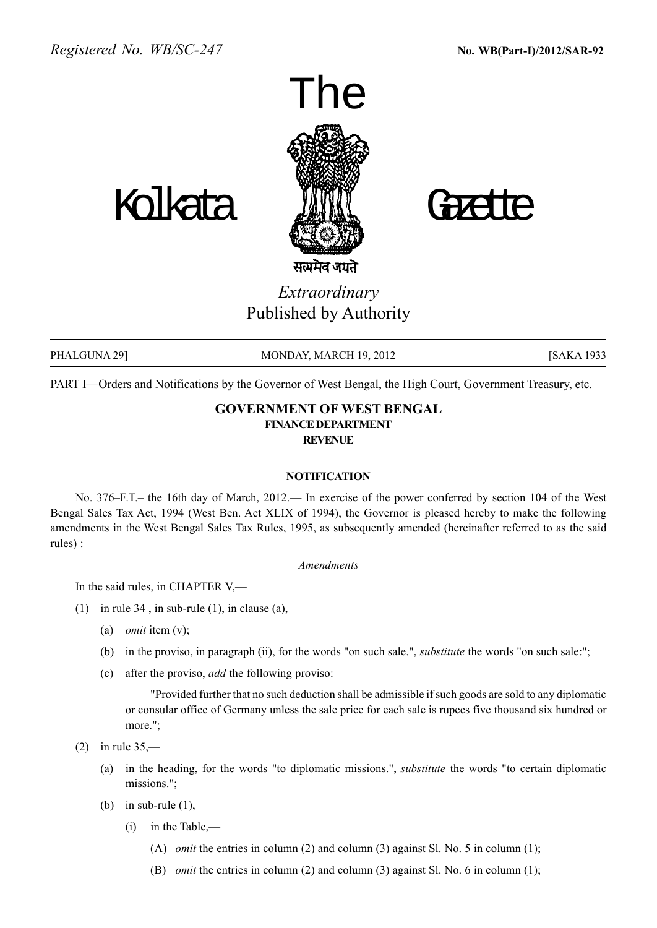



Extraordinary Published by Authority

PHALGUNA 29] MONDAY, MARCH 19, 2012 [SAKA 1933]

PART I-Orders and Notifications by the Governor of West Bengal, the High Court, Government Treasury, etc.

## GOVERNMENT OF WEST BENGAL FINANCEDEPARTMENT **REVENUE**

## **NOTIFICATION**

No. 376–F.T. – the 16th day of March, 2012. In exercise of the power conferred by section 104 of the West Bengal Sales Tax Act, 1994 (West Ben. Act XLIX of 1994), the Governor is pleased hereby to make the following amendments in the West Bengal Sales Tax Rules, 1995, as subsequently amended (hereinafter referred to as the said rules $) :=$ 

## Amendments

In the said rules, in CHAPTER  $V$ ,—

- (1) in rule 34, in sub-rule (1), in clause (a),—
	- (a) *omit* item  $(v)$ ;
	- (b) in the proviso, in paragraph (ii), for the words "on such sale.", substitute the words "on such sale:";
	- (c) after the proviso, *add* the following proviso:—

"Provided further that no such deduction shall be admissible if such goods are sold to any diplomatic or consular office of Germany unless the sale price for each sale is rupees five thousand six hundred or more.";

(2) in rule  $35$ ,—

- (a) in the heading, for the words "to diplomatic missions.", substitute the words "to certain diplomatic missions.";
- (b) in sub-rule  $(1)$ ,  $-$ 
	- $(i)$  in the Table,—
		- (A) omit the entries in column (2) and column (3) against Sl. No. 5 in column (1);
		- (B) omit the entries in column (2) and column (3) against Sl. No. 6 in column (1);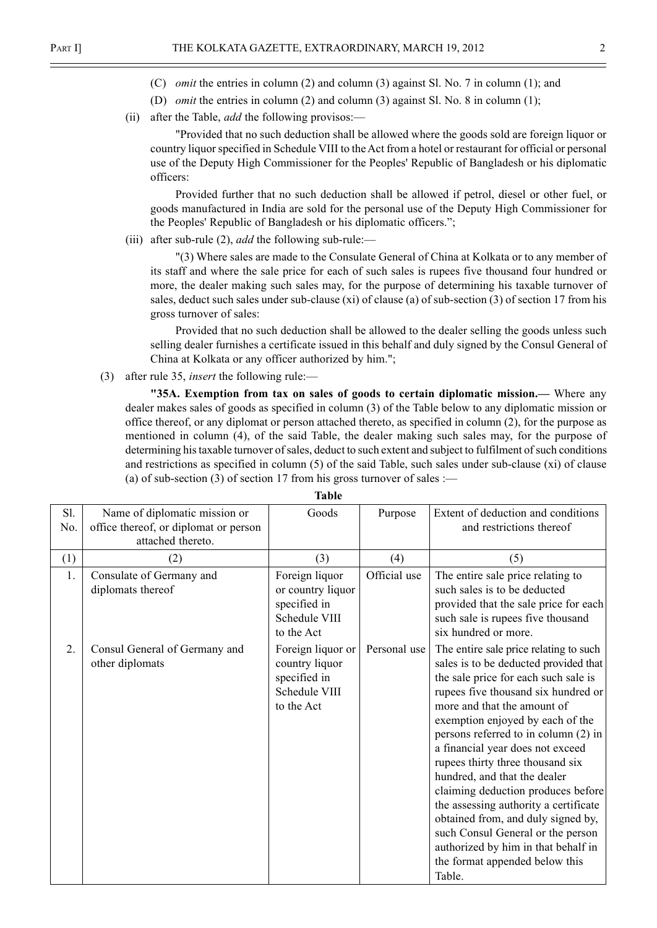- (C) omit the entries in column (2) and column (3) against Sl. No. 7 in column (1); and
- (D) omit the entries in column (2) and column (3) against Sl. No. 8 in column (1);
- (ii) after the Table, *add* the following provisos: $\rightarrow$

"Provided that no such deduction shall be allowed where the goods sold are foreign liquor or country liquor specified in Schedule VIII to the Act from a hotel or restaurant for official or personal use of the Deputy High Commissioner for the Peoples' Republic of Bangladesh or his diplomatic officers:

Provided further that no such deduction shall be allowed if petrol, diesel or other fuel, or goods manufactured in India are sold for the personal use of the Deputy High Commissioner for the Peoples' Republic of Bangladesh or his diplomatic officers.";

(iii) after sub-rule (2), *add* the following sub-rule:—

"(3) Where sales are made to the Consulate General of China at Kolkata or to any member of its staff and where the sale price for each of such sales is rupees five thousand four hundred or more, the dealer making such sales may, for the purpose of determining his taxable turnover of sales, deduct such sales under sub-clause (xi) of clause (a) of sub-section (3) of section 17 from his gross turnover of sales:

Provided that no such deduction shall be allowed to the dealer selling the goods unless such selling dealer furnishes a certificate issued in this behalf and duly signed by the Consul General of China at Kolkata or any officer authorized by him.";

(3) after rule 35, *insert* the following rule:—

"35A. Exemption from tax on sales of goods to certain diplomatic mission.— Where any dealer makes sales of goods as specified in column (3) of the Table below to any diplomatic mission or office thereof, or any diplomat or person attached thereto, as specified in column (2), for the purpose as mentioned in column (4), of the said Table, the dealer making such sales may, for the purpose of determining his taxable turnover of sales, deduct to such extent and subject to fulfilment of such conditions and restrictions as specified in column (5) of the said Table, such sales under sub-clause (xi) of clause (a) of sub-section (3) of section 17 from his gross turnover of sales :—

| Sl.<br>No. | Name of diplomatic mission or<br>office thereof, or diplomat or person<br>attached thereto. | Goods                                                                              | Purpose      | Extent of deduction and conditions<br>and restrictions thereof                                                                                                                                                                                                                                                                                                                                                                                                                                                                                                                                                                 |  |
|------------|---------------------------------------------------------------------------------------------|------------------------------------------------------------------------------------|--------------|--------------------------------------------------------------------------------------------------------------------------------------------------------------------------------------------------------------------------------------------------------------------------------------------------------------------------------------------------------------------------------------------------------------------------------------------------------------------------------------------------------------------------------------------------------------------------------------------------------------------------------|--|
| (1)        | (2)                                                                                         | (3)                                                                                | (4)          | (5)                                                                                                                                                                                                                                                                                                                                                                                                                                                                                                                                                                                                                            |  |
| 1.         | Consulate of Germany and<br>diplomats thereof                                               | Foreign liquor<br>or country liquor<br>specified in<br>Schedule VIII<br>to the Act | Official use | The entire sale price relating to<br>such sales is to be deducted<br>provided that the sale price for each<br>such sale is rupees five thousand<br>six hundred or more.                                                                                                                                                                                                                                                                                                                                                                                                                                                        |  |
| 2.         | Consul General of Germany and<br>other diplomats                                            | Foreign liquor or<br>country liquor<br>specified in<br>Schedule VIII<br>to the Act | Personal use | The entire sale price relating to such<br>sales is to be deducted provided that<br>the sale price for each such sale is<br>rupees five thousand six hundred or<br>more and that the amount of<br>exemption enjoyed by each of the<br>persons referred to in column (2) in<br>a financial year does not exceed<br>rupees thirty three thousand six<br>hundred, and that the dealer<br>claiming deduction produces before<br>the assessing authority a certificate<br>obtained from, and duly signed by,<br>such Consul General or the person<br>authorized by him in that behalf in<br>the format appended below this<br>Table. |  |

Table